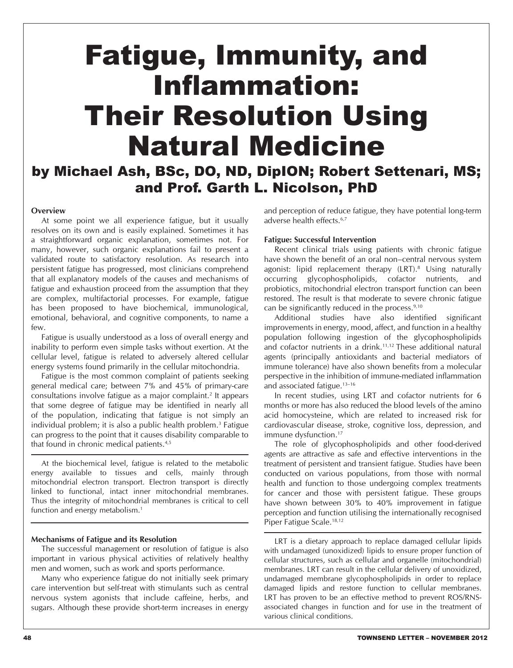# Fatigue, Immunity, and Inflammation: Their Resolution Using Natural Medicine by Michael Ash, BSc, DO, ND, DipION; Robert Settenari, MS;

and Prof. Garth L. Nicolson, PhD

### **Overview**

At some point we all experience fatigue, but it usually resolves on its own and is easily explained. Sometimes it has a straightforward organic explanation, sometimes not. For many, however, such organic explanations fail to present a validated route to satisfactory resolution. As research into persistent fatigue has progressed, most clinicians comprehend that all explanatory models of the causes and mechanisms of fatigue and exhaustion proceed from the assumption that they are complex, multifactorial processes. For example, fatigue has been proposed to have biochemical, immunological, emotional, behavioral, and cognitive components, to name a few.

Fatigue is usually understood as a loss of overall energy and inability to perform even simple tasks without exertion. At the cellular level, fatigue is related to adversely altered cellular energy systems found primarily in the cellular mitochondria.

Fatigue is the most common complaint of patients seeking general medical care; between 7% and 45% of primary-care consultations involve fatigue as a major complaint.2 It appears that some degree of fatigue may be identified in nearly all of the population, indicating that fatigue is not simply an individual problem; it is also a public health problem.3 Fatigue can progress to the point that it causes disability comparable to that found in chronic medical patients.<sup>4,5</sup>

At the biochemical level, fatigue is related to the metabolic energy available to tissues and cells, mainly through mitochondrial electron transport. Electron transport is directly linked to functional, intact inner mitochondrial membranes. Thus the integrity of mitochondrial membranes is critical to cell function and energy metabolism.<sup>1</sup>

### **Mechanisms of Fatigue and its Resolution**

The successful management or resolution of fatigue is also important in various physical activities of relatively healthy men and women, such as work and sports performance.

Many who experience fatigue do not initially seek primary care intervention but self-treat with stimulants such as central nervous system agonists that include caffeine, herbs, and sugars. Although these provide short-term increases in energy

and perception of reduce fatigue, they have potential long-term adverse health effects.6,7

### **Fatigue: Successful Intervention**

Recent clinical trials using patients with chronic fatigue have shown the benefit of an oral non–central nervous system agonist: lipid replacement therapy (LRT).8 Using naturally occurring glycophospholipids, cofactor nutrients, and probiotics, mitochondrial electron transport function can been restored. The result is that moderate to severe chronic fatigue can be significantly reduced in the process.9,10

Additional studies have also identified significant improvements in energy, mood, affect, and function in a healthy population following ingestion of the glycophospholipids and cofactor nutrients in a drink.11,12 These additional natural agents (principally antioxidants and bacterial mediators of immune tolerance) have also shown benefits from a molecular perspective in the inhibition of immune-mediated inflammation and associated fatigue.<sup>13-16</sup>

In recent studies, using LRT and cofactor nutrients for 6 months or more has also reduced the blood levels of the amino acid homocysteine, which are related to increased risk for cardiovascular disease, stroke, cognitive loss, depression, and immune dysfunction.<sup>17</sup>

The role of glycophospholipids and other food-derived agents are attractive as safe and effective interventions in the treatment of persistent and transient fatigue. Studies have been conducted on various populations, from those with normal health and function to those undergoing complex treatments for cancer and those with persistent fatigue. These groups have shown between 30% to 40% improvement in fatigue perception and function utilising the internationally recognised Piper Fatigue Scale.<sup>18,12</sup>

LRT is a dietary approach to replace damaged cellular lipids with undamaged (unoxidized) lipids to ensure proper function of cellular structures, such as cellular and organelle (mitochondrial) membranes. LRT can result in the cellular delivery of unoxidized, undamaged membrane glycophospholipids in order to replace damaged lipids and restore function to cellular membranes. LRT has proven to be an effective method to prevent ROS/RNSassociated changes in function and for use in the treatment of various clinical conditions.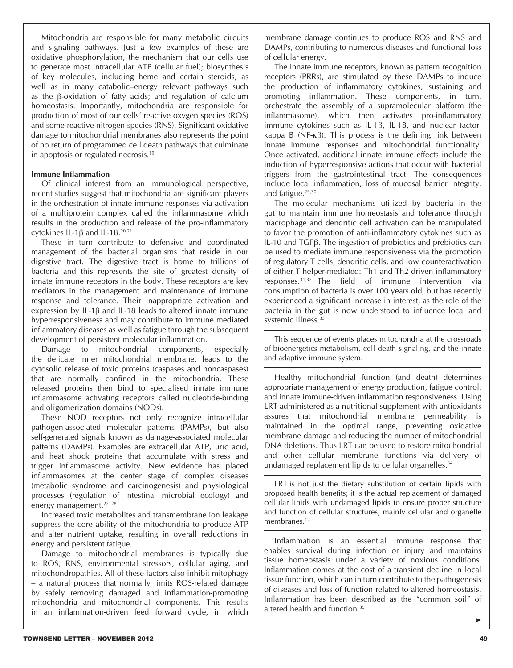Mitochondria are responsible for many metabolic circuits and signaling pathways. Just a few examples of these are oxidative phosphorylation, the mechanism that our cells use to generate most intracellular ATP (cellular fuel); biosynthesis of key molecules, including heme and certain steroids, as well as in many catabolic–energy relevant pathways such as the β-oxidation of fatty acids; and regulation of calcium homeostasis. Importantly, mitochondria are responsible for production of most of our cells' reactive oxygen species (ROS) and some reactive nitrogen species (RNS). Significant oxidative damage to mitochondrial membranes also represents the point of no return of programmed cell death pathways that culminate in apoptosis or regulated necrosis.19

### **Immune Inflammation**

Of clinical interest from an immunological perspective, recent studies suggest that mitochondria are significant players in the orchestration of innate immune responses via activation of a multiprotein complex called the inflammasome which results in the production and release of the pro-inflammatory cytokines IL-1β and IL-18.<sup>20,21</sup>

These in turn contribute to defensive and coordinated management of the bacterial organisms that reside in our digestive tract. The digestive tract is home to trillions of bacteria and this represents the site of greatest density of innate immune receptors in the body. These receptors are key mediators in the management and maintenance of immune response and tolerance. Their inappropriate activation and expression by IL-1β and IL-18 leads to altered innate immune hyperresponsiveness and may contribute to immune mediated inflammatory diseases as well as fatigue through the subsequent development of persistent molecular inflammation.

Damage to mitochondrial components, especially the delicate inner mitochondrial membrane, leads to the cytosolic release of toxic proteins (caspases and noncaspases) that are normally confined in the mitochondria. These released proteins then bind to specialised innate immune inflammasome activating receptors called nucleotide-binding and oligomerization domains (NODs).

These NOD receptors not only recognize intracellular pathogen-associated molecular patterns (PAMPs), but also self-generated signals known as damage-associated molecular patterns (DAMPs). Examples are extracellular ATP, uric acid, and heat shock proteins that accumulate with stress and trigger inflammasome activity. New evidence has placed inflammasomes at the center stage of complex diseases (metabolic syndrome and carcinogenesis) and physiological processes (regulation of intestinal microbial ecology) and energy management.<sup>22-28</sup>

Increased toxic metabolites and transmembrane ion leakage suppress the core ability of the mitochondria to produce ATP and alter nutrient uptake, resulting in overall reductions in energy and persistent fatigue.

Damage to mitochondrial membranes is typically due to ROS, RNS, environmental stressors, cellular aging, and mitochondropathies. All of these factors also inhibit mitophagy – a natural process that normally limits ROS-related damage by safely removing damaged and inflammation-promoting mitochondria and mitochondrial components. This results in an inflammation-driven feed forward cycle, in which

membrane damage continues to produce ROS and RNS and DAMPs, contributing to numerous diseases and functional loss of cellular energy.

The innate immune receptors, known as pattern recognition receptors (PRRs), are stimulated by these DAMPs to induce the production of inflammatory cytokines, sustaining and promoting inflammation. These components, in turn, orchestrate the assembly of a supramolecular platform (the inflammasome), which then activates pro-inflammatory immune cytokines such as IL-1β, IL-18, and nuclear factorkappa B (NF-κβ). This process is the defining link between innate immune responses and mitochondrial functionality. Once activated, additional innate immune effects include the induction of hyperresponsive actions that occur with bacterial triggers from the gastrointestinal tract. The consequences include local inflammation, loss of mucosal barrier integrity, and fatigue.29,30

The molecular mechanisms utilized by bacteria in the gut to maintain immune homeostasis and tolerance through macrophage and dendritic cell activation can be manipulated to favor the promotion of anti-inflammatory cytokines such as IL-10 and TGFβ. The ingestion of probiotics and prebiotics can be used to mediate immune responsiveness via the promotion of regulatory T cells, dendritic cells, and low counteractivation of either T helper-mediated: Th1 and Th2 driven inflammatory responses.31,32 The field of immune intervention via consumption of bacteria is over 100 years old, but has recently experienced a significant increase in interest, as the role of the bacteria in the gut is now understood to influence local and systemic illness.<sup>33</sup>

This sequence of events places mitochondria at the crossroads of bioenergetics metabolism, cell death signaling, and the innate and adaptive immune system.

Healthy mitochondrial function (and death) determines appropriate management of energy production, fatigue control, and innate immune-driven inflammation responsiveness. Using LRT administered as a nutritional supplement with antioxidants assures that mitochondrial membrane permeability is maintained in the optimal range, preventing oxidative membrane damage and reducing the number of mitochondrial DNA deletions. Thus LRT can be used to restore mitochondrial and other cellular membrane functions via delivery of undamaged replacement lipids to cellular organelles.<sup>34</sup>

LRT is not just the dietary substitution of certain lipids with proposed health benefits; it is the actual replacement of damaged cellular lipids with undamaged lipids to ensure proper structure and function of cellular structures, mainly cellular and organelle membranes.<sup>12</sup>

Inflammation is an essential immune response that enables survival during infection or injury and maintains tissue homeostasis under a variety of noxious conditions. Inflammation comes at the cost of a transient decline in local tissue function, which can in turn contribute to the pathogenesis of diseases and loss of function related to altered homeostasis. Inflammation has been described as the "common soil" of altered health and function.35

➤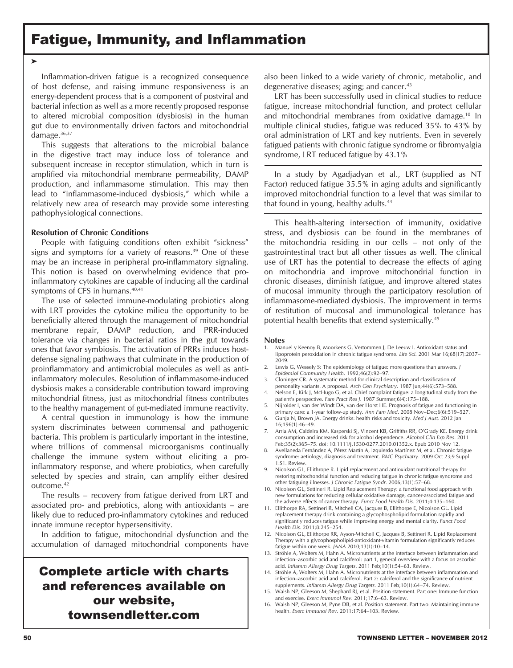### Fatigue, Immunity, and Inflammation

➤

Inflammation-driven fatigue is a recognized consequence of host defense, and raising immune responsiveness is an energy-dependent process that is a component of postviral and bacterial infection as well as a more recently proposed response to altered microbial composition (dysbiosis) in the human gut due to environmentally driven factors and mitochondrial damage.<sup>36,37</sup>

This suggests that alterations to the microbial balance in the digestive tract may induce loss of tolerance and subsequent increase in receptor stimulation, which in turn is amplified via mitochondrial membrane permeability, DAMP production, and inflammasome stimulation. This may then lead to "inflammasome-induced dysbiosis," which while a relatively new area of research may provide some interesting pathophysiological connections.

#### **Resolution of Chronic Conditions**

People with fatiguing conditions often exhibit "sickness" signs and symptoms for a variety of reasons.<sup>39</sup> One of these may be an increase in peripheral pro-inflammatory signaling. This notion is based on overwhelming evidence that proinflammatory cytokines are capable of inducing all the cardinal symptoms of CFS in humans.<sup>40,41</sup>

The use of selected immune-modulating probiotics along with LRT provides the cytokine milieu the opportunity to be beneficially altered through the management of mitochondrial membrane repair, DAMP reduction, and PRR-induced tolerance via changes in bacterial ratios in the gut towards ones that favor symbiosis. The activation of PRRs induces hostdefense signaling pathways that culminate in the production of proinflammatory and antimicrobial molecules as well as antiinflammatory molecules. Resolution of inflammasome-induced dysbiosis makes a considerable contribution toward improving mitochondrial fitness, just as mitochondrial fitness contributes to the healthy management of gut-mediated immune reactivity.

A central question in immunology is how the immune system discriminates between commensal and pathogenic bacteria. This problem is particularly important in the intestine, where trillions of commensal microorganisms continually challenge the immune system without eliciting a proinflammatory response, and where probiotics, when carefully selected by species and strain, can amplify either desired outcome.42

The results – recovery from fatigue derived from LRT and associated pro- and prebiotics, along with antioxidants – are likely due to reduced pro-inflammatory cytokines and reduced innate immune receptor hypersensitivity.

In addition to fatigue, mitochondrial dysfunction and the accumulation of damaged mitochondrial components have

### Complete article with charts and references available on our website, townsendletter.com

also been linked to a wide variety of chronic, metabolic, and degenerative diseases; aging; and cancer.<sup>43</sup>

LRT has been successfully used in clinical studies to reduce fatigue, increase mitochondrial function, and protect cellular and mitochondrial membranes from oxidative damage.10 In multiple clinical studies, fatigue was reduced 35% to 43% by oral administration of LRT and key nutrients. Even in severely fatigued patients with chronic fatigue syndrome or fibromyalgia syndrome, LRT reduced fatigue by 43.1%

In a study by Agadjadyan et al., LRT (supplied as NT Factor) reduced fatigue 35.5% in aging adults and significantly improved mitochondrial function to a level that was similar to that found in young, healthy adults.<sup>44</sup>

This health-altering intersection of immunity, oxidative stress, and dysbiosis can be found in the membranes of the mitochondria residing in our cells – not only of the gastrointestinal tract but all other tissues as well. The clinical use of LRT has the potential to decrease the effects of aging on mitochondria and improve mitochondrial function in chronic diseases, diminish fatigue, and improve altered states of mucosal immunity through the participatory resolution of inflammasome-mediated dysbiosis. The improvement in terms of restitution of mucosal and immunological tolerance has potential health benefits that extend systemically.<sup>45</sup>

#### **Notes**

- 1. Manuel y Keenoy B, Moorkens G, Vertommen J, De Leeuw I. Antioxidant status and lipoprotein peroxidation in chronic fatigue syndrome. *Life Sci.* 2001 Mar 16;68(17):2037– 2049.
- 2. Lewis G, Wessely S: The epidemiology of fatigue: more questions than answers. *J Epidemiol Community Health*. 1992;46(2):92–97.
- 3. Cloninger CR. A systematic method for clinical description and classification of personality variants. A proposal. *Arch Gen Psychiatry*. 1987 Jun;44(6):573–588. 4. Nelson E, Kirk J, McHugo G, et al. Chief complaint fatigue: a longitudinal study from the
- patient's perspective. *Fam Pract Res J*. 1987 Summer;6(4):175–188.
- 5. Nijrolder I, van der Windt DA, van der Horst HE. Prognosis of fatigue and functioning in primary care: a 1-year follow-up study. *Ann Fam Med*. 2008 Nov–Dec;6(6):519–527.
- 6. Gunja N, Brown JA. Energy drinks: health risks and toxicity. *Med J Aust*. 2012 Jan 16;196(1):46–49.
- 7. Arria AM, Caldeira KM, Kasperski SJ, Vincent KB, Griffiths RR, O'Grady KE. Energy drink consumption and increased risk for alcohol dependence. *Alcohol Clin Exp Res*. 2011 Feb;35(2):365–75. doi: 10.1111/j.1530-0277.2010.01352.x. Epub 2010 Nov 12.
- 8. Avellaneda Fernández A, Pérez Martín A, Izquierdo Martínez M, et al. Chronic fatigue syndrome: aetiology, diagnosis and treatment. *BMC Psychiatry*. 2009 Oct 23;9 Suppl 1:S1. Review.
- 9. Nicolson GL, Ellithrope R. Lipid replacement and antioxidant nutritional therapy for restoring mitochondrial function and reducing fatigue in chronic fatigue syndrome and other fatiguing illnesses. *J Chronic Fatigue Syndr*. 2006;13(1):57–68.
- 10. Nicolson GL, Settineri R. Lipid Replacement Therapy: a functional food approach with new formulations for reducing cellular oxidative damage, cancer-associated fatigue and the adverse effects of cancer therapy. *Funct Food Health Dis*. 2011;4:135–160.
- 11. Ellithorpe RA, Settineri R, Mitchell CA, Jacques B, Ellithorpe E, Nicolson GL. Lipid replacement therapy drink containing a glycophospholipid formulation rapidly and significantly reduces fatigue while improving energy and mental clarity. *Funct Food Health Dis*. 2011;8:245–254.
- 12. Nicolson GL, Ellithorpe RR, Ayson-Mitchell C, Jacques B, Settineri R. Lipid Replacement Therapy with a glycophospholipid-antioxidant-vitamin formulation significantly reduces fatigue within one week. *JANA* 2010;13(1):10–14.
- 13. Ströhle A, Wolters M, Hahn A. Micronutrients at the interface between inflammation and infection–ascorbic acid and calciferol: part 1, general overview with a focus on ascorbic acid. *Inflamm Allergy Drug Targets*. 2011 Feb;10(1):54–63. Review.
- 14. Ströhle A, Wolters M, Hahn A. Micronutrients at the interface between inflammation and infection–ascorbic acid and calciferol. Part 2: calciferol and the significance of nutrient supplements. *Inflamm Allergy Drug Targets*. 2011 Feb;10(1):64–74. Review.
- 15. Walsh NP, Gleeson M, Shephard RJ, et al. Position statement. Part one: Immune function and exercise. *Exerc Immunol Rev*. 2011;17:6–63. Review.
- 16. Walsh NP, Gleeson M, Pyne DB, et al. Position statement. Part two: Maintaining immune health. *Exerc Immunol Rev*. 2011;17:64–103. Review.